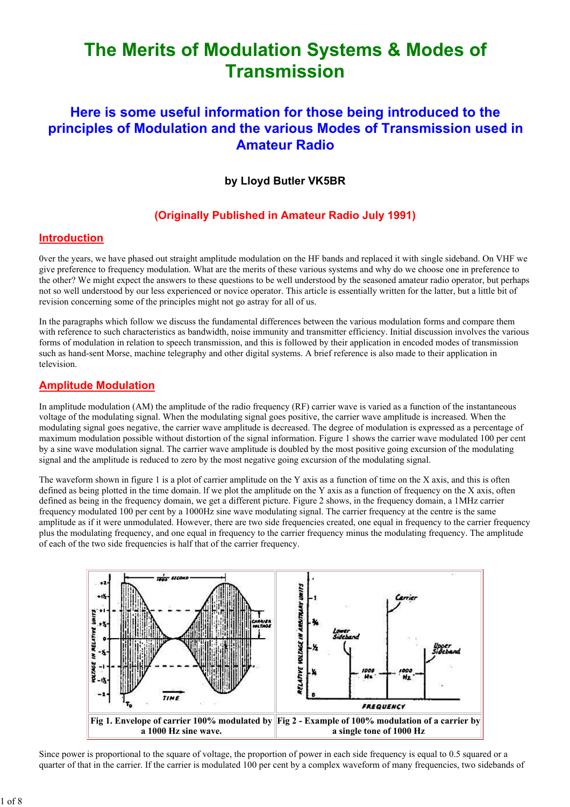# The Merits of Modulation Systems & Modes of **Transmission**

# Here is some useful information for those being introduced to the principles of Modulation and the various Modes of Transmission used in Amateur Radio

# by Lloyd Butler VK5BR

# (Originally Published in Amateur Radio July 1991)

#### Introduction

0ver the years, we have phased out straight amplitude modulation on the HF bands and replaced it with single sideband. On VHF we give preference to frequency modulation. What are the merits of these various systems and why do we choose one in preference to the other? We might expect the answers to these questions to be well understood by the seasoned amateur radio operator, but perhaps not so well understood by our less experienced or novice operator. This article is essentially written for the latter, but a little bit of revision concerning some of the principles might not go astray for all of us.

In the paragraphs which follow we discuss the fundamental differences between the various modulation forms and compare them with reference to such characteristics as bandwidth, noise immunity and transmitter efficiency. Initial discussion involves the various forms of modulation in relation to speech transmission, and this is followed by their application in encoded modes of transmission such as hand-sent Morse, machine telegraphy and other digital systems. A brief reference is also made to their application in television.

#### Amplitude Modulation

In amplitude modulation (AM) the amplitude of the radio frequency (RF) carrier wave is varied as a function of the instantaneous voltage of the modulating signal. When the modulating signal goes positive, the carrier wave amplitude is increased. When the modulating signal goes negative, the carrier wave amplitude is decreased. The degree of modulation is expressed as a percentage of maximum modulation possible without distortion of the signal information. Figure 1 shows the carrier wave modulated 100 per cent by a sine wave modulation signal. The carrier wave amplitude is doubled by the most positive going excursion of the modulating signal and the amplitude is reduced to zero by the most negative going excursion of the modulating signal.

The waveform shown in figure 1 is a plot of carrier amplitude on the Y axis as a function of time on the X axis, and this is often defined as being plotted in the time domain. If we plot the amplitude on the Y axis as a function of frequency on the X axis, often defined as being in the frequency domain, we get a different picture. Figure 2 shows, in the frequency domain, a 1MHz carrier frequency modulated 100 per cent by a 1000Hz sine wave modulating signal. The carrier frequency at the centre is the same amplitude as if it were unmodulated. However, there are two side frequencies created, one equal in frequency to the carrier frequency plus the modulating frequency, and one equal in frequency to the carrier frequency minus the modulating frequency. The amplitude of each of the two side frequencies is half that of the carrier frequency.



Since power is proportional to the square of voltage, the proportion of power in each side frequency is equal to 0.5 squared or a quarter of that in the carrier. If the carrier is modulated 100 per cent by a complex waveform of many frequencies, two sidebands of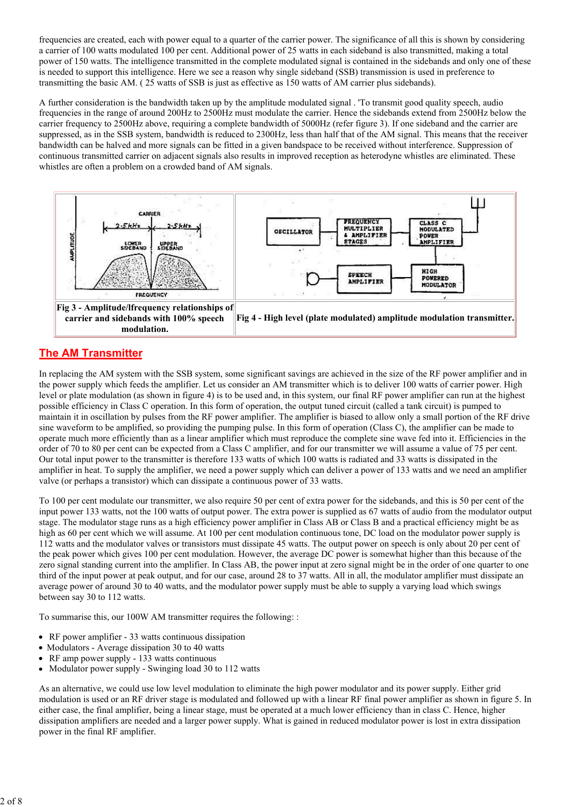frequencies are created, each with power equal to a quarter of the carrier power. The significance of all this is shown by considering a carrier of 100 watts modulated 100 per cent. Additional power of 25 watts in each sideband is also transmitted, making a total power of 150 watts. The intelligence transmitted in the complete modulated signal is contained in the sidebands and only one of these is needed to support this intelligence. Here we see a reason why single sideband (SSB) transmission is used in preference to transmitting the basic AM. ( 25 watts of SSB is just as effective as 150 watts of AM carrier plus sidebands).

A further consideration is the bandwidth taken up by the amplitude modulated signal . 'To transmit good quality speech, audio frequencies in the range of around 200Hz to 2500Hz must modulate the carrier. Hence the sidebands extend from 2500Hz below the carrier frequency to 2500Hz above, requiring a complete bandwidth of 5000Hz (refer figure 3). If one sideband and the carrier are suppressed, as in the SSB system, bandwidth is reduced to 2300Hz, less than half that of the AM signal. This means that the receiver bandwidth can be halved and more signals can be fitted in a given bandspace to be received without interference. Suppression of continuous transmitted carrier on adjacent signals also results in improved reception as heterodyne whistles are eliminated. These whistles are often a problem on a crowded band of AM signals.



# The AM Transmitter

In replacing the AM system with the SSB system, some significant savings are achieved in the size of the RF power amplifier and in the power supply which feeds the amplifier. Let us consider an AM transmitter which is to deliver 100 watts of carrier power. High level or plate modulation (as shown in figure 4) is to be used and, in this system, our final RF power amplifier can run at the highest possible efficiency in Class C operation. In this form of operation, the output tuned circuit (called a tank circuit) is pumped to maintain it in oscillation by pulses from the RF power amplifier. The amplifier is biased to allow only a small portion of the RF drive sine waveform to be amplified, so providing the pumping pulse. In this form of operation (Class C), the amplifier can be made to operate much more efficiently than as a linear amplifier which must reproduce the complete sine wave fed into it. Efficiencies in the order of 70 to 80 per cent can be expected from a Class C amplifier, and for our transmitter we will assume a value of 75 per cent. Our total input power to the transmitter is therefore 133 watts of which 100 watts is radiated and 33 watts is dissipated in the amplifier in heat. To supply the amplifier, we need a power supply which can deliver a power of 133 watts and we need an amplifier valve (or perhaps a transistor) which can dissipate a continuous power of 33 watts.

To 100 per cent modulate our transmitter, we also require 50 per cent of extra power for the sidebands, and this is 50 per cent of the input power 133 watts, not the 100 watts of output power. The extra power is supplied as 67 watts of audio from the modulator output stage. The modulator stage runs as a high efficiency power amplifier in Class AB or Class B and a practical efficiency might be as high as 60 per cent which we will assume. At 100 per cent modulation continuous tone, DC load on the modulator power supply is 112 watts and the modulator valves or transistors must dissipate 45 watts. The output power on speech is only about 20 per cent of the peak power which gives 100 per cent modulation. However, the average DC power is somewhat higher than this because of the zero signal standing current into the amplifier. In Class AB, the power input at zero signal might be in the order of one quarter to one third of the input power at peak output, and for our case, around 28 to 37 watts. All in all, the modulator amplifier must dissipate an average power of around 30 to 40 watts, and the modulator power supply must be able to supply a varying load which swings between say 30 to 112 watts.

To summarise this, our 100W AM transmitter requires the following: :

- RF power amplifier 33 watts continuous dissipation
- Modulators Average dissipation 30 to 40 watts
- RF amp power supply 133 watts continuous
- Modulator power supply Swinging load 30 to 112 watts

As an alternative, we could use low level modulation to eliminate the high power modulator and its power supply. Either grid modulation is used or an RF driver stage is modulated and followed up with a linear RF final power amplifier as shown in figure 5. In either case, the final amplifier, being a linear stage, must be operated at a much lower efficiency than in class C. Hence, higher dissipation amplifiers are needed and a larger power supply. What is gained in reduced modulator power is lost in extra dissipation power in the final RF amplifier.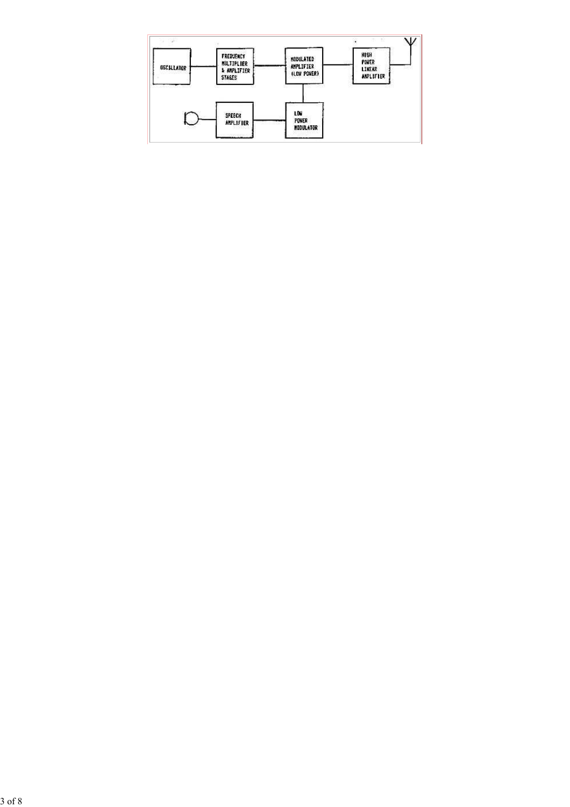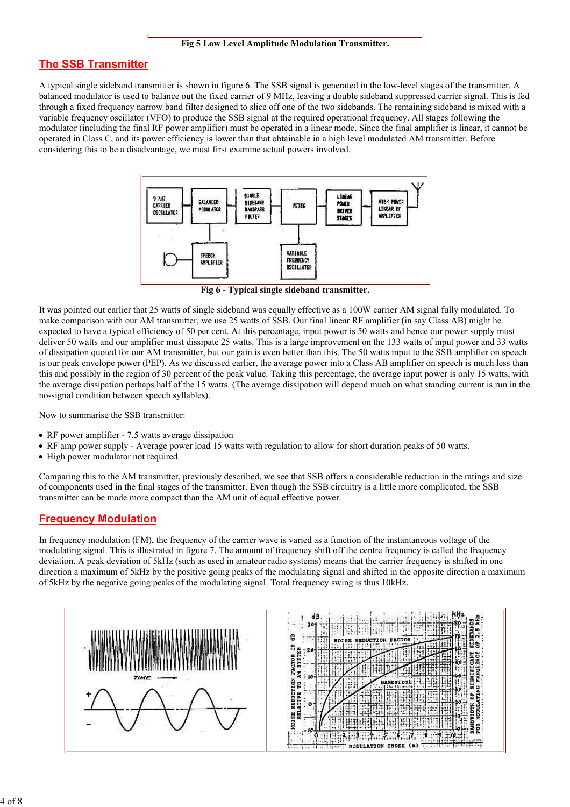#### The SSB Transmitter

A typical single sideband transmitter is shown in figure 6. The SSB signal is generated in the low-level stages of the transmitter. A balanced modulator is used to balance out the fixed carrier of 9 MHz, leaving a double sideband suppressed carrier signal. This is fed through a fixed frequency narrow band filter designed to slice off one of the two sidebands. The remaining sideband is mixed with a variable frequency oscillator (VFO) to produce the SSB signal at the required operational frequency. All stages following the modulator (including the final RF power amplifier) must be operated in a linear mode. Since the final amplifier is linear, it cannot be operated in Class C, and its power efficiency is lower than that obtainable in a high level modulated AM transmitter. Before considering this to be a disadvantage, we must first examine actual powers involved.



Fig 6 - Typical single sideband transmitter.

It was pointed out earlier that 25 watts of single sideband was equally effective as a 100W carrier AM signal fully modulated. To make comparison with our AM transmitter, we use 25 watts of SSB. Our final linear RF amplifier (in say Class AB) might he expected to have a typical efficiency of 50 per cent. At this percentage, input power is 50 watts and hence our power supply must deliver 50 watts and our amplifier must dissipate 25 watts. This is a large improvement on the 133 watts of input power and 33 watts of dissipation quoted for our AM transmitter, but our gain is even better than this. The 50 watts input to the SSB amplifier on speech is our peak envelope power (PEP). As we discussed earlier, the average power into a Class AB amplifier on speech is much less than this and possibly in the region of 30 percent of the peak value. Taking this percentage, the average input power is only 15 watts, with the average dissipation perhaps half of the 15 watts. (The average dissipation will depend much on what standing current is run in the no-signal condition between speech syllables).

Now to summarise the SSB transmitter:

- RF power amplifier 7.5 watts average dissipation
- RF amp power supply Average power load 15 watts with regulation to allow for short duration peaks of 50 watts.
- High power modulator not required.

Comparing this to the AM transmitter, previously described, we see that SSB offers a considerable reduction in the ratings and size of components used in the final stages of the transmitter. Even though the SSB circuitry is a little more complicated, the SSB transmitter can be made more compact than the AM unit of equal effective power.

#### Frequency Modulation

In frequency modulation (FM), the frequency of the carrier wave is varied as a function of the instantaneous voltage of the modulating signal. This is illustrated in figure 7. The amount of frequeney shift off the centre frequency is called the frequency deviation. A peak deviation of 5kHz (such as used in amateur radio systems) means that the carrier frequency is shifted in one direction a maximum of 5kHz by the positive going peaks of the modulating signal and shifted in the opposite direction a maximum of 5kHz by the negative going peaks of the modulating signal. Total frequency swing is thus 10kHz.

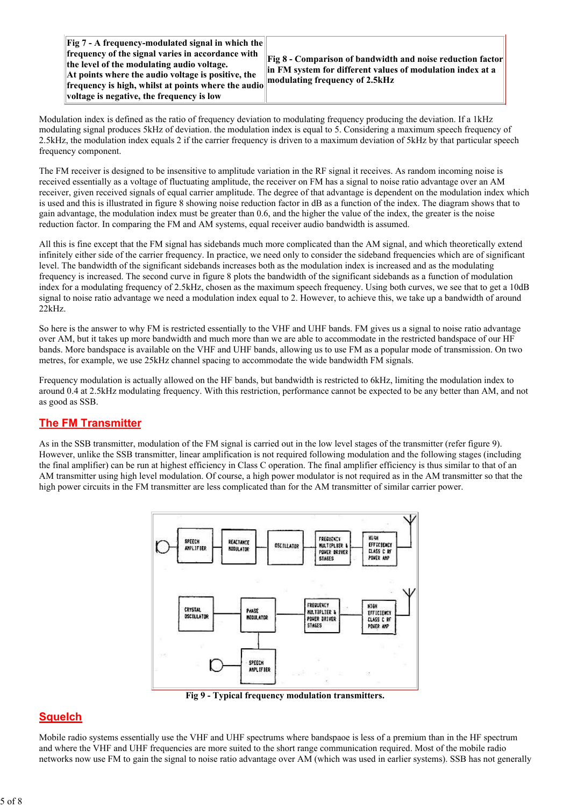Fig 7 - A frequency-modulated signal in which the frequency of the signal varies in accordance with the level of the modulating audio voltage. At points where the audio voltage is positive, the frequency is high, whilst at points where the audio voltage is negative, the frequency is low

Fig 8 - Comparison of bandwidth and noise reduction factor in FM system for different values of modulation index at a modulating frequency of 2.5kHz

Modulation index is defined as the ratio of frequency deviation to modulating frequency producing the deviation. If a 1kHz modulating signal produces 5kHz of deviation. the modulation index is equal to 5. Considering a maximum speech frequency of 2.5kHz, the modulation index equals 2 if the carrier frequency is driven to a maximum deviation of 5kHz by that particular speech frequency component.

The FM receiver is designed to be insensitive to amplitude variation in the RF signal it receives. As random incoming noise is received essentially as a voltage of fluctuating amplitude, the receiver on FM has a signal to noise ratio advantage over an AM receiver, given received signals of equal carrier amplitude. The degree of that advantage is dependent on the modulation index which is used and this is illustrated in figure 8 showing noise reduction factor in dB as a function of the index. The diagram shows that to gain advantage, the modulation index must be greater than 0.6, and the higher the value of the index, the greater is the noise reduction factor. In comparing the FM and AM systems, equal receiver audio bandwidth is assumed.

All this is fine except that the FM signal has sidebands much more complicated than the AM signal, and which theoretically extend infinitely either side of the carrier frequency. In practice, we need only to consider the sideband frequencies which are of significant level. The bandwidth of the significant sidebands increases both as the modulation index is increased and as the modulating frequency is increased. The second curve in figure 8 plots the bandwidth of the significant sidebands as a function of modulation index for a modulating frequency of 2.5kHz, chosen as the maximum speech frequency. Using both curves, we see that to get a 10dB signal to noise ratio advantage we need a modulation index equal to 2. However, to achieve this, we take up a bandwidth of around 22kHz.

So here is the answer to why FM is restricted essentially to the VHF and UHF bands. FM gives us a signal to noise ratio advantage over AM, but it takes up more bandwidth and much more than we are able to accommodate in the restricted bandspace of our HF bands. More bandspace is available on the VHF and UHF bands, allowing us to use FM as a popular mode of transmission. On two metres, for example, we use 25kHz channel spacing to accommodate the wide bandwidth FM signals.

Frequency modulation is actually allowed on the HF bands, but bandwidth is restricted to 6kHz, limiting the modulation index to around 0.4 at 2.5kHz modulating frequency. With this restriction, performance cannot be expected to be any better than AM, and not as good as SSB.

#### **The FM Transmitter**

As in the SSB transmitter, modulation of the FM signal is carried out in the low level stages of the transmitter (refer figure 9). However, unlike the SSB transmitter, linear amplification is not required following modulation and the following stages (including the final amplifier) can be run at highest efficiency in Class C operation. The final amplifier efficiency is thus similar to that of an AM transmitter using high level modulation. Of course, a high power modulator is not required as in the AM transmitter so that the high power circuits in the FM transmitter are less complicated than for the AM transmitter of similar carrier power.



Fig 9 - Typical frequency modulation transmitters.

## **Squelch**

Mobile radio systems essentially use the VHF and UHF spectrums where bandspaoe is less of a premium than in the HF spectrum and where the VHF and UHF frequencies are more suited to the short range communication required. Most of the mobile radio networks now use FM to gain the signal to noise ratio advantage over AM (which was used in earlier systems). SSB has not generally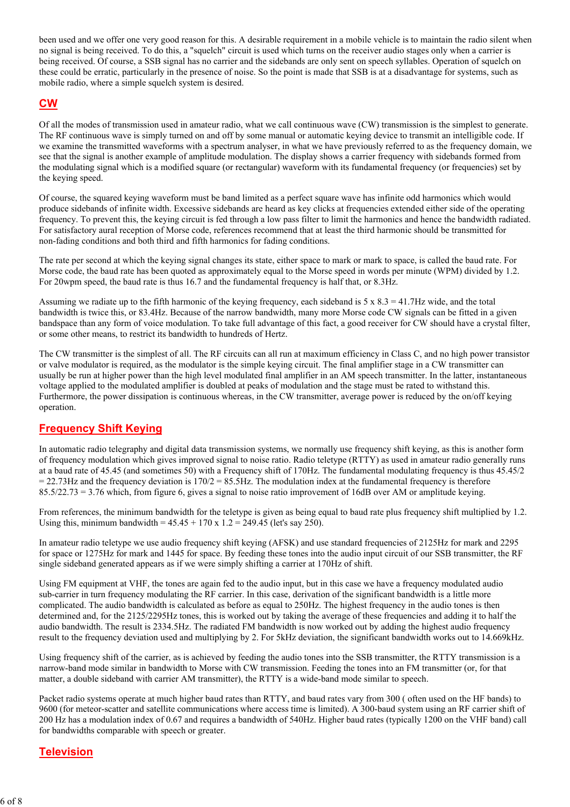been used and we offer one very good reason for this. A desirable requirement in a mobile vehicle is to maintain the radio silent when no signal is being received. To do this, a "squelch" circuit is used which turns on the receiver audio stages only when a carrier is being received. Of course, a SSB signal has no carrier and the sidebands are only sent on speech syllables. Operation of squelch on these could be erratic, particularly in the presence of noise. So the point is made that SSB is at a disadvantage for systems, such as mobile radio, where a simple squelch system is desired.

#### CW

Of all the modes of transmission used in amateur radio, what we call continuous wave (CW) transmission is the simplest to generate. The RF continuous wave is simply turned on and off by some manual or automatic keying device to transmit an intelligible code. If we examine the transmitted waveforms with a spectrum analyser, in what we have previously referred to as the frequency domain, we see that the signal is another example of amplitude modulation. The display shows a carrier frequency with sidebands formed from the modulating signal which is a modified square (or rectangular) waveform with its fundamental frequency (or frequencies) set by the keying speed.

Of course, the squared keying waveform must be band limited as a perfect square wave has infinite odd harmonics which would produce sidebands of infinite width. Excessive sidebands are heard as key clicks at frequencies extended either side of the operating frequency. To prevent this, the keying circuit is fed through a low pass filter to limit the harmonics and hence the bandwidth radiated. For satisfactory aural reception of Morse code, references recommend that at least the third harmonic should be transmitted for non-fading conditions and both third and fifth harmonics for fading conditions.

The rate per second at which the keying signal changes its state, either space to mark or mark to space, is called the baud rate. For Morse code, the baud rate has been quoted as approximately equal to the Morse speed in words per minute (WPM) divided by 1.2. For 20wpm speed, the baud rate is thus 16.7 and the fundamental frequency is half that, or 8.3Hz.

Assuming we radiate up to the fifth harmonic of the keying frequency, each sideband is  $5 \times 8.3 = 41.7$  Hz wide, and the total bandwidth is twice this, or 83.4Hz. Because of the narrow bandwidth, many more Morse code CW signals can be fitted in a given bandspace than any form of voice modulation. To take full advantage of this fact, a good receiver for CW should have a crystal filter, or some other means, to restrict its bandwidth to hundreds of Hertz.

The CW transmitter is the simplest of all. The RF circuits can all run at maximum efficiency in Class C, and no high power transistor or valve modulator is required, as the modulator is the simple keying circuit. The final amplifier stage in a CW transmitter can usually be run at higher power than the high level modulated final amplifier in an AM speech transmitter. In the latter, instantaneous voltage applied to the modulated amplifier is doubled at peaks of modulation and the stage must be rated to withstand this. Furthermore, the power dissipation is continuous whereas, in the CW transmitter, average power is reduced by the on/off keying operation.

## Frequency Shift Keying

In automatic radio telegraphy and digital data transmission systems, we normally use frequency shift keying, as this is another form of frequency modulation which gives improved signal to noise ratio. Radio teletype (RTTY) as used in amateur radio generally runs at a baud rate of 45.45 (and sometimes 50) with a Frequency shift of 170Hz. The fundamental modulating frequency is thus 45.45/2  $= 22.73$  Hz and the frequency deviation is  $170/2 = 85.5$  Hz. The modulation index at the fundamental frequency is therefore  $85.5/22.73 = 3.76$  which, from figure 6, gives a signal to noise ratio improvement of 16dB over AM or amplitude keying.

From references, the minimum bandwidth for the teletype is given as being equal to baud rate plus frequency shift multiplied by 1.2. Using this, minimum bandwidth =  $45.45 + 170 \times 1.2 = 249.45$  (let's say 250).

In amateur radio teletype we use audio frequency shift keying (AFSK) and use standard frequencies of 2125Hz for mark and 2295 for space or 1275Hz for mark and 1445 for space. By feeding these tones into the audio input circuit of our SSB transmitter, the RF single sideband generated appears as if we were simply shifting a carrier at 170Hz of shift.

Using FM equipment at VHF, the tones are again fed to the audio input, but in this case we have a frequency modulated audio sub-carrier in turn frequency modulating the RF carrier. In this case, derivation of the significant bandwidth is a little more complicated. The audio bandwidth is calculated as before as equal to 250Hz. The highest frequency in the audio tones is then determined and, for the 2125/2295Hz tones, this is worked out by taking the average of these frequencies and adding it to half the audio bandwidth. The result is 2334.5Hz. The radiated FM bandwidth is now worked out by adding the highest audio frequency result to the frequency deviation used and multiplying by 2. For 5kHz deviation, the significant bandwidth works out to 14.669kHz.

Using frequency shift of the carrier, as is achieved by feeding the audio tones into the SSB transmitter, the RTTY transmission is a narrow-band mode similar in bandwidth to Morse with CW transmission. Feeding the tones into an FM transmitter (or, for that matter, a double sideband with carrier AM transmitter), the RTTY is a wide-band mode similar to speech.

Packet radio systems operate at much higher baud rates than RTTY, and baud rates vary from 300 ( often used on the HF bands) to 9600 (for meteor-scatter and satellite communications where access time is limited). A 300-baud system using an RF carrier shift of 200 Hz has a modulation index of 0.67 and requires a bandwidth of 540Hz. Higher baud rates (typically 1200 on the VHF band) call for bandwidths comparable with speech or greater.

#### **Television**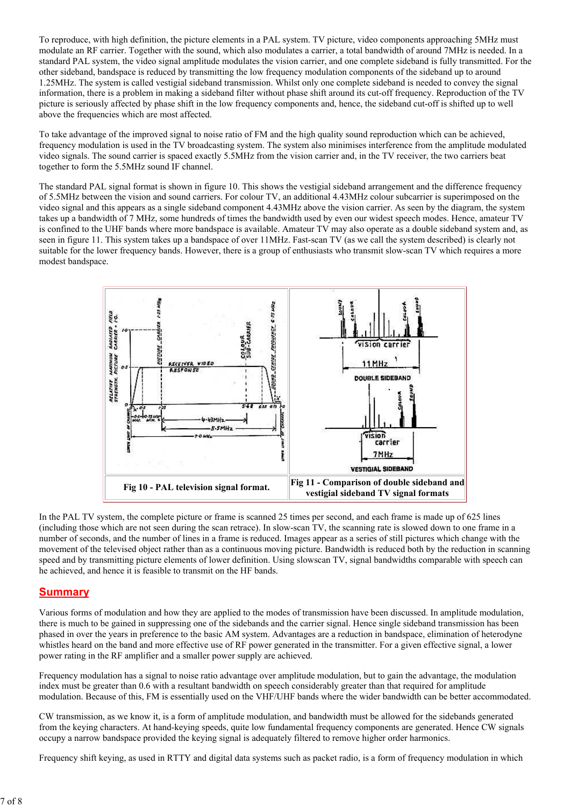To reproduce, with high definition, the picture elements in a PAL system. TV picture, video components approaching 5MHz must modulate an RF carrier. Together with the sound, which also modulates a carrier, a total bandwidth of around 7MHz is needed. In a standard PAL system, the video signal amplitude modulates the vision carrier, and one complete sideband is fully transmitted. For the other sideband, bandspace is reduced by transmitting the low frequency modulation components of the sideband up to around 1.25MHz. The system is called vestigial sideband transmission. Whilst only one complete sideband is needed to convey the signal information, there is a problem in making a sideband filter without phase shift around its cut-off frequency. Reproduction of the TV picture is seriously affected by phase shift in the low frequency components and, hence, the sideband cut-off is shifted up to well above the frequencies which are most affected.

To take advantage of the improved signal to noise ratio of FM and the high quality sound reproduction which can be achieved, frequency modulation is used in the TV broadcasting system. The system also minimises interference from the amplitude modulated video signals. The sound carrier is spaced exactly 5.5MHz from the vision carrier and, in the TV receiver, the two carriers beat together to form the 5.5MHz sound IF channel.

The standard PAL signal format is shown in figure 10. This shows the vestigial sideband arrangement and the difference frequency of 5.5MHz between the vision and sound carriers. For colour TV, an additional 4.43MHz colour subcarrier is superimposed on the video signal and this appears as a single sideband component 4.43MHz above the vision carrier. As seen by the diagram, the system takes up a bandwidth of 7 MHz, some hundreds of times the bandwidth used by even our widest speech modes. Hence, amateur TV is confined to the UHF bands where more bandspace is available. Amateur TV may also operate as a double sideband system and, as seen in figure 11. This system takes up a bandspace of over 11MHz. Fast-scan TV (as we call the system described) is clearly not suitable for the lower frequency bands. However, there is a group of enthusiasts who transmit slow-scan TV which requires a more modest bandspace.



In the PAL TV system, the complete picture or frame is scanned 25 times per second, and each frame is made up of 625 lines (including those which are not seen during the scan retrace). In slow-scan TV, the scanning rate is slowed down to one frame in a number of seconds, and the number of lines in a frame is reduced. Images appear as a series of still pictures which change with the movement of the televised object rather than as a continuous moving picture. Bandwidth is reduced both by the reduction in scanning speed and by transmitting picture elements of lower definition. Using slowscan TV, signal bandwidths comparable with speech can he achieved, and hence it is feasible to transmit on the HF bands.

#### **Summary**

Various forms of modulation and how they are applied to the modes of transmission have been discussed. In amplitude modulation, there is much to be gained in suppressing one of the sidebands and the carrier signal. Hence single sideband transmission has been phased in over the years in preference to the basic AM system. Advantages are a reduction in bandspace, elimination of heterodyne whistles heard on the band and more effective use of RF power generated in the transmitter. For a given effective signal, a lower power rating in the RF amplifier and a smaller power supply are achieved.

Frequency modulation has a signal to noise ratio advantage over amplitude modulation, but to gain the advantage, the modulation index must be greater than 0.6 with a resultant bandwidth on speech considerably greater than that required for amplitude modulation. Because of this, FM is essentially used on the VHF/UHF bands where the wider bandwidth can be better accommodated.

CW transmission, as we know it, is a form of amplitude modulation, and bandwidth must be allowed for the sidebands generated from the keying characters. At hand-keying speeds, quite low fundamental frequency components are generated. Hence CW signals occupy a narrow bandspace provided the keying signal is adequately filtered to remove higher order harmonics.

Frequency shift keying, as used in RTTY and digital data systems such as packet radio, is a form of frequency modulation in which